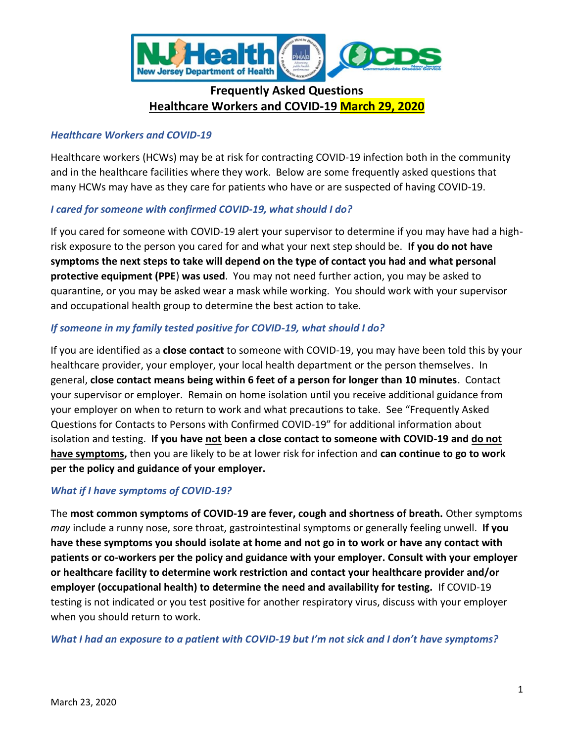

# **Frequently Asked Questions Healthcare Workers and COVID-19 March 29, 2020**

## *Healthcare Workers and COVID-19*

Healthcare workers (HCWs) may be at risk for contracting COVID-19 infection both in the community and in the healthcare facilities where they work. Below are some frequently asked questions that many HCWs may have as they care for patients who have or are suspected of having COVID-19.

## *I cared for someone with confirmed COVID-19, what should I do?*

If you cared for someone with COVID-19 alert your supervisor to determine if you may have had a highrisk exposure to the person you cared for and what your next step should be. **If you do not have symptoms the next steps to take will depend on the type of contact you had and what personal protective equipment (PPE**) **was used**. You may not need further action, you may be asked to quarantine, or you may be asked wear a mask while working. You should work with your supervisor and occupational health group to determine the best action to take.

## *If someone in my family tested positive for COVID-19, what should I do?*

If you are identified as a **close contact** to someone with COVID-19, you may have been told this by your healthcare provider, your employer, your local health department or the person themselves.In general, **close contact means being within 6 feet of a person for longer than 10 minutes**. Contact your supervisor or employer. Remain on home isolation until you receive additional guidance from your employer on when to return to work and what precautions to take. See "Frequently Asked Questions for Contacts to Persons with Confirmed COVID-19" for additional information about isolation and testing. **If you have not been a close contact to someone with COVID-19 and do not have symptoms,** then you are likely to be at lower risk for infection and **can continue to go to work per the policy and guidance of your employer.** 

## *What if I have symptoms of COVID-19?*

The **most common symptoms of COVID-19 are fever, cough and shortness of breath.** Other symptoms *may* include a runny nose, sore throat, gastrointestinal symptoms or generally feeling unwell. **If you have these symptoms you should isolate at home and not go in to work or have any contact with patients or co-workers per the policy and guidance with your employer. Consult with your employer or healthcare facility to determine work restriction and contact your healthcare provider and/or employer (occupational health) to determine the need and availability for testing.** If COVID-19 testing is not indicated or you test positive for another respiratory virus, discuss with your employer when you should return to work.

*What I had an exposure to a patient with COVID-19 but I'm not sick and I don't have symptoms?*